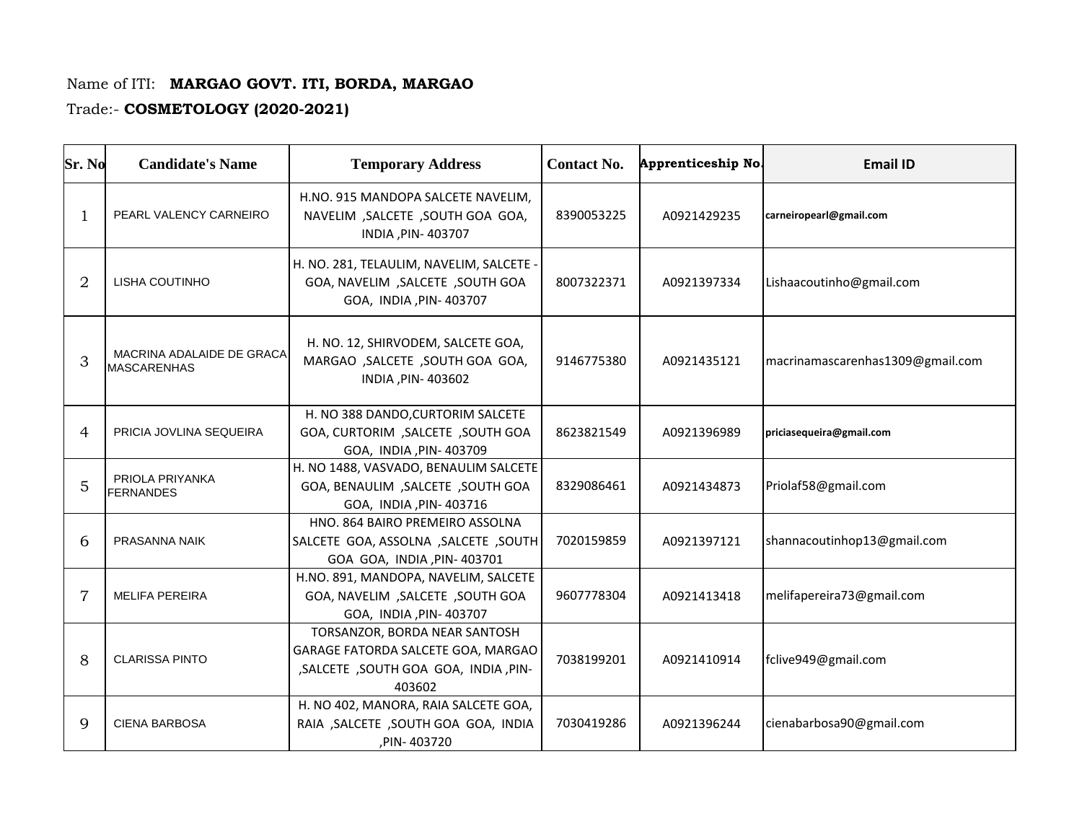## Name of ITI: **MARGAO GOVT. ITI, BORDA, MARGAO**

## Trade:- **COSMETOLOGY (2020-2021)**

| Sr. No         | <b>Candidate's Name</b>                         | <b>Temporary Address</b>                                                                                                | <b>Contact No.</b> | Apprenticeship No. | <b>Email ID</b>                  |
|----------------|-------------------------------------------------|-------------------------------------------------------------------------------------------------------------------------|--------------------|--------------------|----------------------------------|
| 1              | PEARL VALENCY CARNEIRO                          | H.NO. 915 MANDOPA SALCETE NAVELIM.<br>NAVELIM, SALCETE, SOUTH GOA GOA,<br>INDIA, PIN-403707                             | 8390053225         | A0921429235        | carneiropearl@gmail.com          |
| 2              | LISHA COUTINHO                                  | H. NO. 281, TELAULIM, NAVELIM, SALCETE -<br>GOA, NAVELIM, SALCETE, SOUTH GOA<br>GOA, INDIA, PIN- 403707                 | 8007322371         | A0921397334        | Lishaacoutinho@gmail.com         |
| 3              | MACRINA ADALAIDE DE GRACA<br><b>MASCARENHAS</b> | H. NO. 12, SHIRVODEM, SALCETE GOA,<br>MARGAO , SALCETE , SOUTH GOA GOA,<br>INDIA, PIN-403602                            | 9146775380         | A0921435121        | macrinamascarenhas1309@gmail.com |
| 4              | PRICIA JOVLINA SEQUEIRA                         | H. NO 388 DANDO, CURTORIM SALCETE<br>GOA, CURTORIM, SALCETE, SOUTH GOA<br>GOA, INDIA, PIN- 403709                       | 8623821549         | A0921396989        | priciasequeira@gmail.com         |
| 5              | PRIOLA PRIYANKA<br><b>FERNANDES</b>             | H. NO 1488, VASVADO, BENAULIM SALCETE<br><b>GOA, BENAULIM, SALCETE, SOUTH GOA</b><br>GOA, INDIA, PIN-403716             | 8329086461         | A0921434873        | Priolaf58@gmail.com              |
| 6              | PRASANNA NAIK                                   | HNO. 864 BAIRO PREMEIRO ASSOLNA<br>SALCETE GOA, ASSOLNA , SALCETE , SOUTH<br>GOA GOA, INDIA , PIN- 403701               | 7020159859         | A0921397121        | shannacoutinhop13@gmail.com      |
| $\overline{7}$ | <b>MELIFA PEREIRA</b>                           | H.NO. 891, MANDOPA, NAVELIM, SALCETE<br>GOA, NAVELIM, SALCETE, SOUTH GOA<br>GOA, INDIA, PIN- 403707                     | 9607778304         | A0921413418        | melifapereira73@gmail.com        |
| 8              | <b>CLARISSA PINTO</b>                           | TORSANZOR, BORDA NEAR SANTOSH<br>GARAGE FATORDA SALCETE GOA, MARGAO<br>, SALCETE , SOUTH GOA GOA, INDIA, PIN-<br>403602 | 7038199201         | A0921410914        | fclive949@gmail.com              |
| 9              | <b>CIENA BARBOSA</b>                            | H. NO 402, MANORA, RAIA SALCETE GOA,<br>RAIA , SALCETE , SOUTH GOA GOA, INDIA<br>, PIN-403720                           | 7030419286         | A0921396244        | cienabarbosa90@gmail.com         |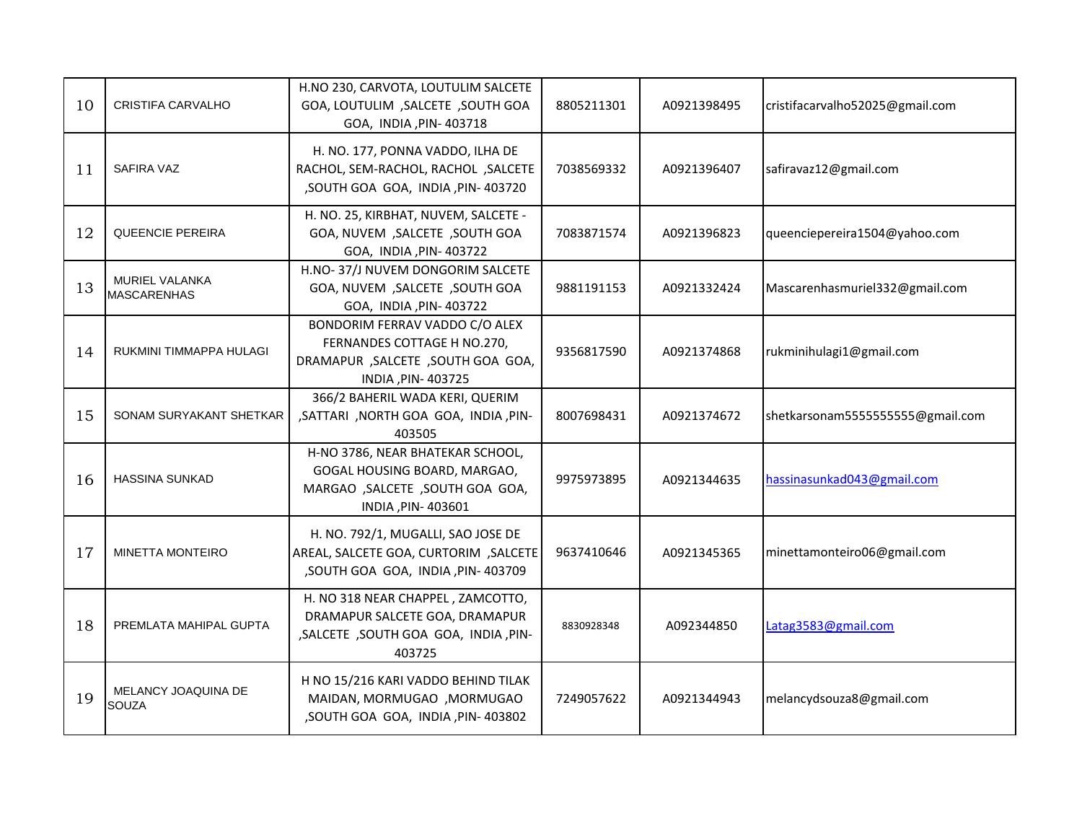| 10 | CRISTIFA CARVALHO                           | H.NO 230, CARVOTA, LOUTULIM SALCETE<br><b>GOA, LOUTULIM, SALCETE, SOUTH GOA</b><br>GOA, INDIA, PIN-403718                  | 8805211301 | A0921398495 | cristifacarvalho52025@gmail.com  |
|----|---------------------------------------------|----------------------------------------------------------------------------------------------------------------------------|------------|-------------|----------------------------------|
| 11 | SAFIRA VAZ                                  | H. NO. 177, PONNA VADDO, ILHA DE<br>RACHOL, SEM-RACHOL, RACHOL, SALCETE<br>, SOUTH GOA GOA, INDIA, PIN-403720              | 7038569332 | A0921396407 | safiravaz12@gmail.com            |
| 12 | <b>QUEENCIE PEREIRA</b>                     | H. NO. 25, KIRBHAT, NUVEM, SALCETE -<br>GOA, NUVEM, SALCETE, SOUTH GOA<br>GOA, INDIA, PIN-403722                           | 7083871574 | A0921396823 | queenciepereira1504@yahoo.com    |
| 13 | <b>MURIEL VALANKA</b><br><b>MASCARENHAS</b> | H.NO-37/J NUVEM DONGORIM SALCETE<br>GOA, NUVEM, SALCETE, SOUTH GOA<br>GOA, INDIA, PIN-403722                               | 9881191153 | A0921332424 | Mascarenhasmuriel332@gmail.com   |
| 14 | RUKMINI TIMMAPPA HULAGI                     | BONDORIM FERRAV VADDO C/O ALEX<br>FERNANDES COTTAGE H NO.270,<br>DRAMAPUR , SALCETE , SOUTH GOA GOA,<br>INDIA, PIN-403725  | 9356817590 | A0921374868 | rukminihulagi1@gmail.com         |
| 15 | SONAM SURYAKANT SHETKAR                     | 366/2 BAHERIL WADA KERI, QUERIM<br>, SATTARI, NORTH GOA GOA, INDIA, PIN-<br>403505                                         | 8007698431 | A0921374672 | shetkarsonam5555555555@gmail.com |
| 16 | <b>HASSINA SUNKAD</b>                       | H-NO 3786, NEAR BHATEKAR SCHOOL,<br>GOGAL HOUSING BOARD, MARGAO,<br>MARGAO , SALCETE , SOUTH GOA GOA,<br>INDIA, PIN-403601 | 9975973895 | A0921344635 | hassinasunkad043@gmail.com       |
| 17 | <b>MINETTA MONTEIRO</b>                     | H. NO. 792/1, MUGALLI, SAO JOSE DE<br>AREAL, SALCETE GOA, CURTORIM, SALCETE<br>, SOUTH GOA GOA, INDIA, PIN-403709          | 9637410646 | A0921345365 | minettamonteiro06@gmail.com      |
| 18 | PREMLATA MAHIPAL GUPTA                      | H. NO 318 NEAR CHAPPEL, ZAMCOTTO,<br>DRAMAPUR SALCETE GOA, DRAMAPUR<br>, SALCETE, SOUTH GOA GOA, INDIA, PIN-<br>403725     | 8830928348 | A092344850  | Latag3583@gmail.com              |
| 19 | MELANCY JOAQUINA DE<br>SOUZA                | H NO 15/216 KARI VADDO BEHIND TILAK<br>MAIDAN, MORMUGAO , MORMUGAO<br>, SOUTH GOA GOA, INDIA, PIN-403802                   | 7249057622 | A0921344943 | melancydsouza8@gmail.com         |